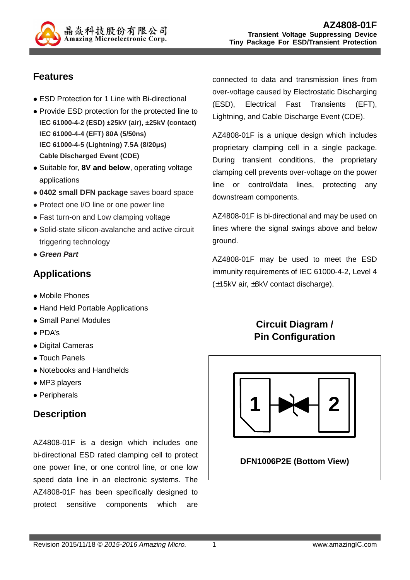

### **Features**

- ESD Protection for 1 Line with Bi-directional
- Provide ESD protection for the protected line to **IEC 61000-4-2 (ESD) ±25kV (air), ±25kV (contact) IEC 61000-4-4 (EFT) 80A (5/50ns) IEC 61000-4-5 (Lightning) 7.5A (8/20µs) Cable Discharged Event (CDE)**
- Suitable for, 8V and below, operating voltage applications
- **0402 small DFN package** saves board space
- Protect one I/O line or one power line
- Fast turn-on and Low clamping voltage
- Solid-state silicon-avalanche and active circuit triggering technology
- **Green Part**

## **Applications**

- Mobile Phones
- Hand Held Portable Applications
- Small Panel Modules
- PDA's
- Digital Cameras
- Touch Panels
- Notebooks and Handhelds
- MP3 players
- Peripherals

### **Description**

AZ4808-01F is a design which includes one bi-directional ESD rated clamping cell to protect one power line, or one control line, or one low speed data line in an electronic systems. The AZ4808-01F has been specifically designed to protect sensitive components which are

connected to data and transmission lines from over-voltage caused by Electrostatic Discharging (ESD), Electrical Fast Transients (EFT), Lightning, and Cable Discharge Event (CDE).

AZ4808-01F is a unique design which includes proprietary clamping cell in a single package. During transient conditions, the proprietary clamping cell prevents over-voltage on the power line or control/data lines, protecting any downstream components.

AZ4808-01F is bi-directional and may be used on lines where the signal swings above and below ground.

AZ4808-01F may be used to meet the ESD immunity requirements of IEC 61000-4-2, Level 4 (±15kV air, ±8kV contact discharge).

## **Circuit Diagram / Pin Configuration**

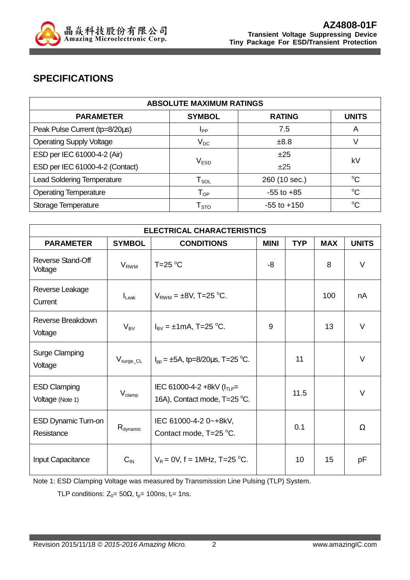

## **SPECIFICATIONS**

| <b>ABSOLUTE MAXIMUM RATINGS</b>   |                                |                 |              |  |
|-----------------------------------|--------------------------------|-----------------|--------------|--|
| <b>PARAMETER</b>                  | <b>SYMBOL</b>                  | <b>RATING</b>   | <b>UNITS</b> |  |
| Peak Pulse Current (tp=8/20µs)    | <b>I</b> <sub>PP</sub>         | 7.5             | A            |  |
| <b>Operating Supply Voltage</b>   | $V_{DC}$                       | ±8.8            | V            |  |
| ESD per IEC 61000-4-2 (Air)       |                                | ±25             | kV           |  |
| ESD per IEC 61000-4-2 (Contact)   | $V_{ESD}$                      | ±25             |              |  |
| <b>Lead Soldering Temperature</b> | ${\mathsf T}_{\text{\rm SOL}}$ | 260 (10 sec.)   | $^{\circ}C$  |  |
| <b>Operating Temperature</b>      | $T_{OP}$                       | $-55$ to $+85$  | $^{\circ}C$  |  |
| Storage Temperature               | ${\mathsf T}_{\text{STO}}$     | $-55$ to $+150$ | $^{\circ}C$  |  |

| <b>ELECTRICAL CHARACTERISTICS</b>        |                         |                                                                  |             |            |            |              |
|------------------------------------------|-------------------------|------------------------------------------------------------------|-------------|------------|------------|--------------|
| <b>PARAMETER</b>                         | <b>SYMBOL</b>           | <b>CONDITIONS</b>                                                | <b>MINI</b> | <b>TYP</b> | <b>MAX</b> | <b>UNITS</b> |
| Reverse Stand-Off<br>Voltage             | <b>V<sub>RWM</sub></b>  | $T=25$ °C                                                        | -8          |            | 8          | V            |
| Reverse Leakage<br>Current               | $I_{\text{Leak}}$       | $V_{RWM} = \pm 8V$ , T=25 °C.                                    |             |            | 100        | nA           |
| Reverse Breakdown<br>Voltage             | $V_{BV}$                | $I_{BV} = \pm 1 \text{mA}$ , T=25 °C.                            | 9           |            | 13         | $\vee$       |
| <b>Surge Clamping</b><br>Voltage         | $\rm V_{\rm surge\_CL}$ | $I_{\text{pp}} = \pm 5A$ , tp=8/20 $\mu$ s, T=25 °C.             |             | 11         |            | $\vee$       |
| <b>ESD Clamping</b><br>Voltage (Note 1)  | $V_{\text{clamp}}$      | IEC 61000-4-2 +8kV ( $I_{TLP}$ =<br>16A), Contact mode, T=25 °C. |             | 11.5       |            | $\vee$       |
| <b>ESD Dynamic Turn-on</b><br>Resistance | $R_{\text{dynamic}}$    | IEC 61000-4-2 0~+8kV,<br>Contact mode, T=25 °C.                  |             | 0.1        |            | $\Omega$     |
| <b>Input Capacitance</b>                 | $C_{IN}$                | $V_R = 0V$ , f = 1MHz, T=25 °C.                                  |             | 10         | 15         | pF           |

Note 1: ESD Clamping Voltage was measured by Transmission Line Pulsing (TLP) System.

TLP conditions:  $Z_0 = 50\Omega$ ,  $t_p = 100$ ns,  $t_r = 1$ ns.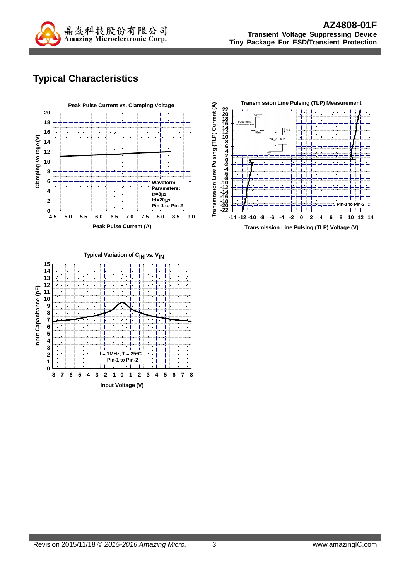

## **Typical Characteristics**





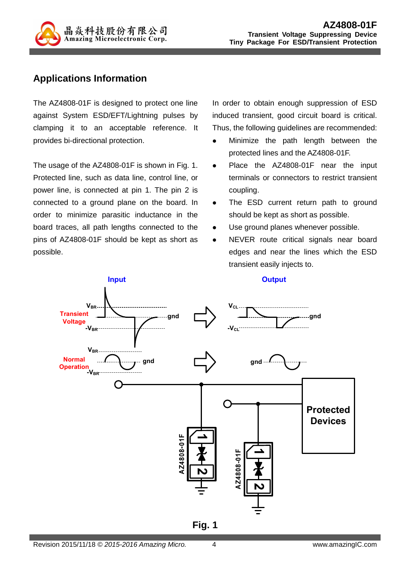

#### **Applications Information**

The AZ4808-01F is designed to protect one line against System ESD/EFT/Lightning pulses by clamping it to an acceptable reference. It provides bi-directional protection.

The usage of the AZ4808-01F is shown in Fig. 1. Protected line, such as data line, control line, or power line, is connected at pin 1. The pin 2 is connected to a ground plane on the board. In order to minimize parasitic inductance in the board traces, all path lengths connected to the pins of AZ4808-01F should be kept as short as possible.

In order to obtain enough suppression of ESD induced transient, good circuit board is critical. Thus, the following guidelines are recommended:

- Minimize the path length between the protected lines and the AZ4808-01F.
- Place the AZ4808-01F near the input terminals or connectors to restrict transient coupling.
- The ESD current return path to ground should be kept as short as possible.
- Use ground planes whenever possible.
- NEVER route critical signals near board edges and near the lines which the ESD transient easily injects to.

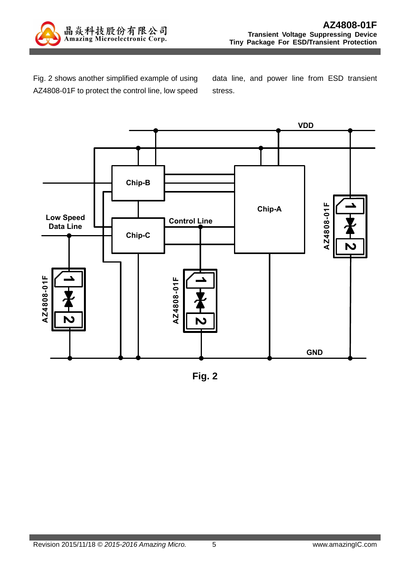

Fig. 2 shows another simplified example of using AZ4808-01F to protect the control line, low speed

data line, and power line from ESD transient stress.



**Fig. 2**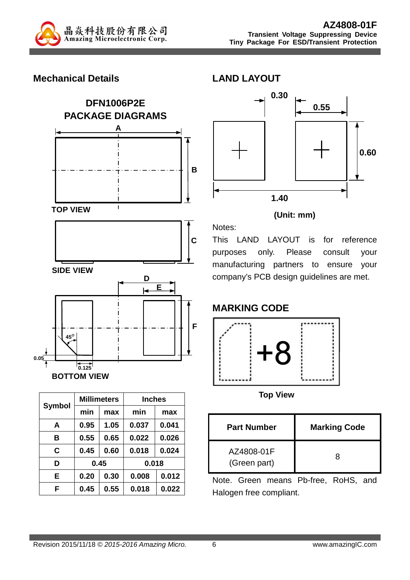

#### **Mechanical Details**





| <b>Symbol</b> |      | <b>Millimeters</b> | <b>Inches</b> |       |  |
|---------------|------|--------------------|---------------|-------|--|
|               | min  | max                | min           | max   |  |
| A             | 0.95 | 1.05               | 0.037         | 0.041 |  |
| в             | 0.55 | 0.65               | 0.022         | 0.026 |  |
| C             | 0.45 | 0.60               | 0.018         | 0.024 |  |
| D             | 0.45 |                    |               | 0.018 |  |
| Е             | 0.20 | 0.30               | 0.008         | 0.012 |  |
| F             | 0.45 | 0.55               | 0.018         | 0.022 |  |



#### **(Unit: mm)**

Notes: This LAND LAYOUT is for reference purposes only. Please consult your manufacturing partners to ensure your company's PCB design guidelines are met.

### **MARKING CODE**



**Top View** 

| <b>Part Number</b>         | <b>Marking Code</b> |
|----------------------------|---------------------|
| AZ4808-01F<br>(Green part) | x                   |

Note. Green means Pb-free, RoHS, and Halogen free compliant.